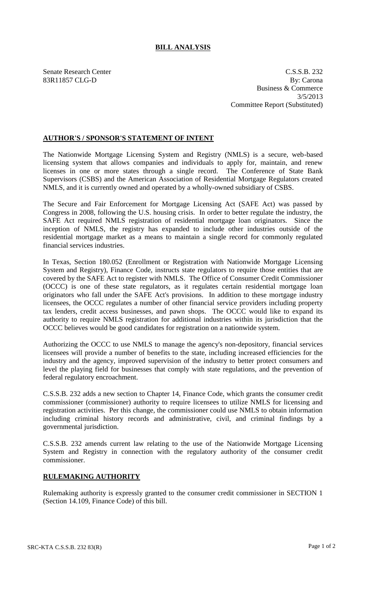## **BILL ANALYSIS**

Senate Research Center C.S.S.B. 232 83R11857 CLG-D By: Carona Business & Commerce 3/5/2013 Committee Report (Substituted)

## **AUTHOR'S / SPONSOR'S STATEMENT OF INTENT**

The Nationwide Mortgage Licensing System and Registry (NMLS) is a secure, web-based licensing system that allows companies and individuals to apply for, maintain, and renew licenses in one or more states through a single record. The Conference of State Bank Supervisors (CSBS) and the American Association of Residential Mortgage Regulators created NMLS, and it is currently owned and operated by a wholly-owned subsidiary of CSBS.

The Secure and Fair Enforcement for Mortgage Licensing Act (SAFE Act) was passed by Congress in 2008, following the U.S. housing crisis. In order to better regulate the industry, the SAFE Act required NMLS registration of residential mortgage loan originators. Since the inception of NMLS, the registry has expanded to include other industries outside of the residential mortgage market as a means to maintain a single record for commonly regulated financial services industries.

In Texas, Section 180.052 (Enrollment or Registration with Nationwide Mortgage Licensing System and Registry), Finance Code, instructs state regulators to require those entities that are covered by the SAFE Act to register with NMLS. The Office of Consumer Credit Commissioner (OCCC) is one of these state regulators, as it regulates certain residential mortgage loan originators who fall under the SAFE Act's provisions. In addition to these mortgage industry licensees, the OCCC regulates a number of other financial service providers including property tax lenders, credit access businesses, and pawn shops. The OCCC would like to expand its authority to require NMLS registration for additional industries within its jurisdiction that the OCCC believes would be good candidates for registration on a nationwide system.

Authorizing the OCCC to use NMLS to manage the agency's non-depository, financial services licensees will provide a number of benefits to the state, including increased efficiencies for the industry and the agency, improved supervision of the industry to better protect consumers and level the playing field for businesses that comply with state regulations, and the prevention of federal regulatory encroachment.

C.S.S.B. 232 adds a new section to Chapter 14, Finance Code, which grants the consumer credit commissioner (commissioner) authority to require licensees to utilize NMLS for licensing and registration activities. Per this change, the commissioner could use NMLS to obtain information including criminal history records and administrative, civil, and criminal findings by a governmental jurisdiction.

C.S.S.B. 232 amends current law relating to the use of the Nationwide Mortgage Licensing System and Registry in connection with the regulatory authority of the consumer credit commissioner.

## **RULEMAKING AUTHORITY**

Rulemaking authority is expressly granted to the consumer credit commissioner in SECTION 1 (Section 14.109, Finance Code) of this bill.